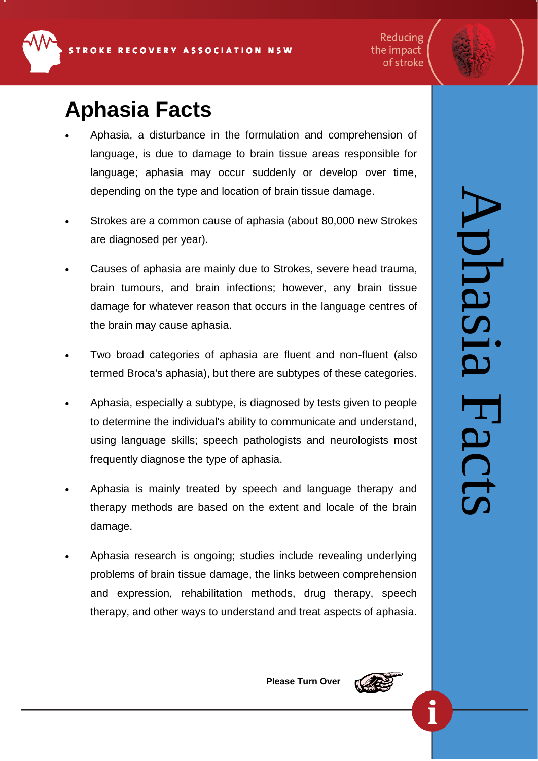**Aphasia Facts**

- Aphasia, a disturbance in the formulation and comprehension of language, is due to damage to brain tissue areas responsible for language; aphasia may occur suddenly or develop over time, depending on the type and location of [brain tissue damage.](http://www.medicinenet.com/script/main/art.asp?articlekey=99838)
- [Strokes](http://www.medicinenet.com/script/main/art.asp?articlekey=489) are a common cause of aphasia (about 80,000 new Strokes are diagnosed per year).
- Causes of aphasia are mainly due to Strokes, severe head trauma, [brain tumours,](http://www.medicinenet.com/script/main/art.asp?articlekey=296) and [brain infections;](http://www.medicinenet.com/script/main/art.asp?articlekey=416) however, any brain tissue damage for whatever reason that occurs in the language centres of the brain may cause aphasia.
- Two broad categories of aphasia are fluent and non-fluent (also termed Broca's aphasia), but there are subtypes of these categories.
- Aphasia, especially a subtype, is diagnosed by tests given to people to determine the individual's ability to communicate and understand, using language skills; speech pathologists and neurologists most frequently diagnose the type of aphasia.
- Aphasia is mainly treated by speech and language therapy and therapy methods are based on the extent and locale of the brain damage.
- Aphasia research is ongoing; studies include revealing underlying problems of brain tissue damage, the links between comprehension and expression, rehabilitation methods, drug therapy, speech therapy, and other ways to understand and treat aspects of aphasia.

Aphasia Facts plasia Hacts

Reducing

the impact of stroke

**Please Turn Over**